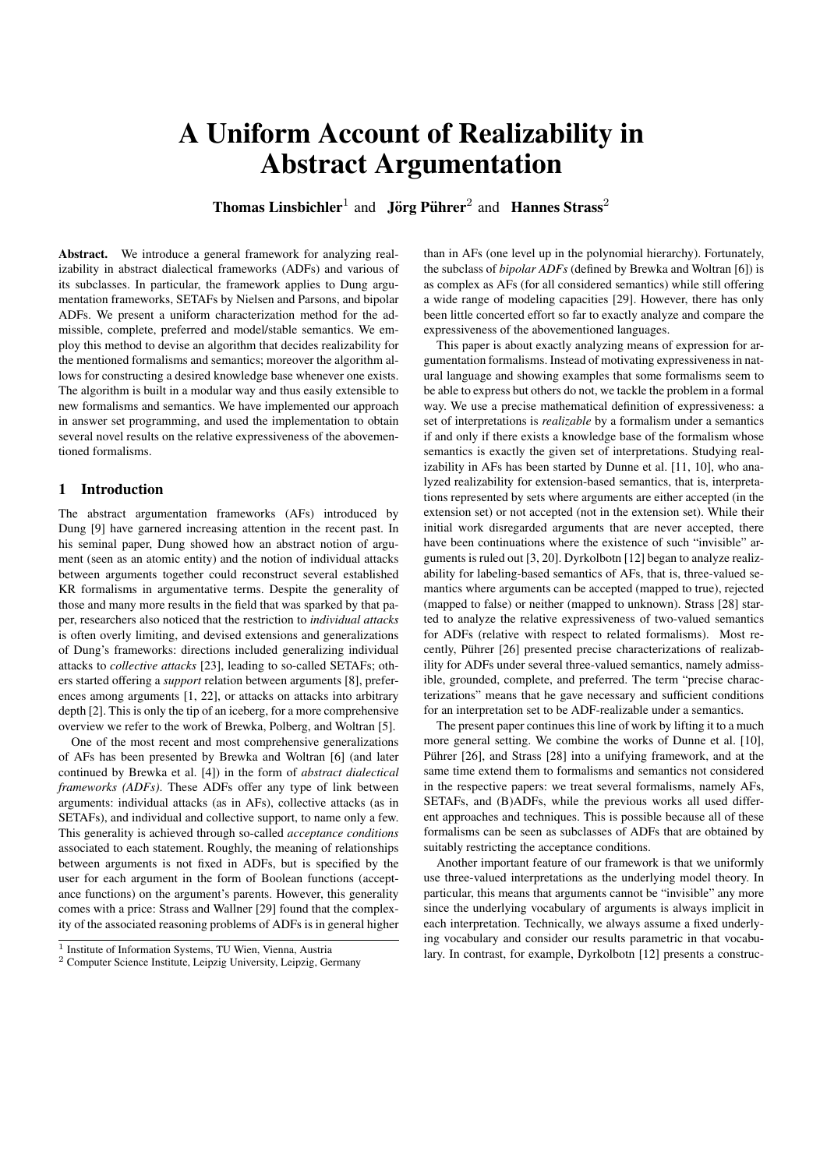# A Uniform Account of Realizability in Abstract Argumentation

**Thomas Linsbichler**<sup>1</sup> and **Jörg Pührer**<sup>2</sup> and **Hannes Strass**<sup>2</sup>

Abstract. We introduce a general framework for analyzing realizability in abstract dialectical frameworks (ADFs) and various of its subclasses. In particular, the framework applies to Dung argumentation frameworks, SETAFs by Nielsen and Parsons, and bipolar ADFs. We present a uniform characterization method for the admissible, complete, preferred and model/stable semantics. We employ this method to devise an algorithm that decides realizability for the mentioned formalisms and semantics; moreover the algorithm allows for constructing a desired knowledge base whenever one exists. The algorithm is built in a modular way and thus easily extensible to new formalisms and semantics. We have implemented our approach in answer set programming, and used the implementation to obtain several novel results on the relative expressiveness of the abovementioned formalisms.

# 1 Introduction

The abstract argumentation frameworks (AFs) introduced by Dung [9] have garnered increasing attention in the recent past. In his seminal paper, Dung showed how an abstract notion of argument (seen as an atomic entity) and the notion of individual attacks between arguments together could reconstruct several established KR formalisms in argumentative terms. Despite the generality of those and many more results in the field that was sparked by that paper, researchers also noticed that the restriction to *individual attacks* is often overly limiting, and devised extensions and generalizations of Dung's frameworks: directions included generalizing individual attacks to *collective attacks* [23], leading to so-called SETAFs; others started offering a *support* relation between arguments [8], preferences among arguments [1, 22], or attacks on attacks into arbitrary depth [2]. This is only the tip of an iceberg, for a more comprehensive overview we refer to the work of Brewka, Polberg, and Woltran [5].

One of the most recent and most comprehensive generalizations of AFs has been presented by Brewka and Woltran [6] (and later continued by Brewka et al. [4]) in the form of *abstract dialectical frameworks (ADFs)*. These ADFs offer any type of link between arguments: individual attacks (as in AFs), collective attacks (as in SETAFs), and individual and collective support, to name only a few. This generality is achieved through so-called *acceptance conditions* associated to each statement. Roughly, the meaning of relationships between arguments is not fixed in ADFs, but is specified by the user for each argument in the form of Boolean functions (acceptance functions) on the argument's parents. However, this generality comes with a price: Strass and Wallner [29] found that the complexity of the associated reasoning problems of ADFs is in general higher

than in AFs (one level up in the polynomial hierarchy). Fortunately, the subclass of *bipolar ADFs* (defined by Brewka and Woltran [6]) is as complex as AFs (for all considered semantics) while still offering a wide range of modeling capacities [29]. However, there has only been little concerted effort so far to exactly analyze and compare the expressiveness of the abovementioned languages.

This paper is about exactly analyzing means of expression for argumentation formalisms. Instead of motivating expressiveness in natural language and showing examples that some formalisms seem to be able to express but others do not, we tackle the problem in a formal way. We use a precise mathematical definition of expressiveness: a set of interpretations is *realizable* by a formalism under a semantics if and only if there exists a knowledge base of the formalism whose semantics is exactly the given set of interpretations. Studying realizability in AFs has been started by Dunne et al. [11, 10], who analyzed realizability for extension-based semantics, that is, interpretations represented by sets where arguments are either accepted (in the extension set) or not accepted (not in the extension set). While their initial work disregarded arguments that are never accepted, there have been continuations where the existence of such "invisible" arguments is ruled out [3, 20]. Dyrkolbotn [12] began to analyze realizability for labeling-based semantics of AFs, that is, three-valued semantics where arguments can be accepted (mapped to true), rejected (mapped to false) or neither (mapped to unknown). Strass [28] started to analyze the relative expressiveness of two-valued semantics for ADFs (relative with respect to related formalisms). Most recently, Pührer [26] presented precise characterizations of realizability for ADFs under several three-valued semantics, namely admissible, grounded, complete, and preferred. The term "precise characterizations" means that he gave necessary and sufficient conditions for an interpretation set to be ADF-realizable under a semantics.

The present paper continues this line of work by lifting it to a much more general setting. We combine the works of Dunne et al. [10], Pührer [26], and Strass [28] into a unifying framework, and at the same time extend them to formalisms and semantics not considered in the respective papers: we treat several formalisms, namely AFs, SETAFs, and (B)ADFs, while the previous works all used different approaches and techniques. This is possible because all of these formalisms can be seen as subclasses of ADFs that are obtained by suitably restricting the acceptance conditions.

Another important feature of our framework is that we uniformly use three-valued interpretations as the underlying model theory. In particular, this means that arguments cannot be "invisible" any more since the underlying vocabulary of arguments is always implicit in each interpretation. Technically, we always assume a fixed underlying vocabulary and consider our results parametric in that vocabulary. In contrast, for example, Dyrkolbotn [12] presents a construc-

<sup>&</sup>lt;sup>1</sup> Institute of Information Systems, TU Wien, Vienna, Austria

<sup>2</sup> Computer Science Institute, Leipzig University, Leipzig, Germany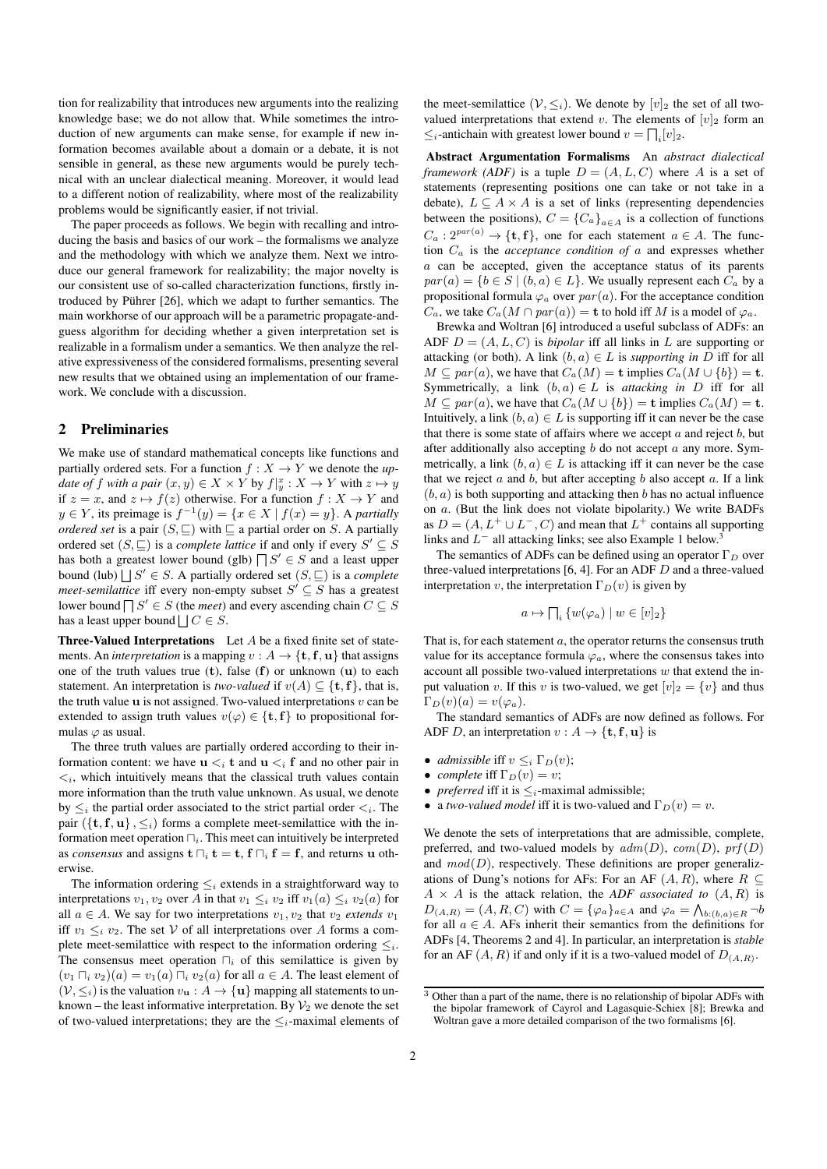tion for realizability that introduces new arguments into the realizing knowledge base; we do not allow that. While sometimes the introduction of new arguments can make sense, for example if new information becomes available about a domain or a debate, it is not sensible in general, as these new arguments would be purely technical with an unclear dialectical meaning. Moreover, it would lead to a different notion of realizability, where most of the realizability problems would be significantly easier, if not trivial.

The paper proceeds as follows. We begin with recalling and introducing the basis and basics of our work – the formalisms we analyze and the methodology with which we analyze them. Next we introduce our general framework for realizability; the major novelty is our consistent use of so-called characterization functions, firstly introduced by Pührer [26], which we adapt to further semantics. The main workhorse of our approach will be a parametric propagate-andguess algorithm for deciding whether a given interpretation set is realizable in a formalism under a semantics. We then analyze the relative expressiveness of the considered formalisms, presenting several new results that we obtained using an implementation of our framework. We conclude with a discussion.

#### 2 Preliminaries

We make use of standard mathematical concepts like functions and partially ordered sets. For a function  $f : X \to Y$  we denote the *update of f with a pair*  $(x, y) \in X \times Y$  by  $f|_y^x : X \to Y$  with  $z \mapsto y$ if  $z = x$ , and  $z \mapsto f(z)$  otherwise. For a function  $f : X \to Y$  and  $y \in Y$ , its preimage is  $f^{-1}(y) = \{x \in X \mid f(x) = y\}$ . A *partially ordered set* is a pair  $(S, \sqsubseteq)$  with  $\sqsubseteq$  a partial order on S. A partially ordered set  $(S, \subseteq)$  is a *complete lattice* if and only if every  $S' \subseteq S$ has both a greatest lower bound (glb)  $\bigcap S' \in S$  and a least upper bound (lub)  $\bigcup S' \in S$ . A partially ordered set  $(S, \sqsubseteq)$  is a *complete meet-semilattice* iff every non-empty subset  $S' \subseteq S$  has a greatest lower bound  $\bigcap S' \in S$  (the *meet*) and every ascending chain  $C \subseteq S$ has a least upper bound  $\bigsqcup C \in S$ .

**Three-Valued Interpretations** Let  $A$  be a fixed finite set of statements. An *interpretation* is a mapping  $v : A \rightarrow \{t, f, u\}$  that assigns one of the truth values true  $(t)$ , false  $(f)$  or unknown  $(u)$  to each statement. An interpretation is *two-valued* if  $v(A) \subseteq \{t, f\}$ , that is, the truth value  $\bf{u}$  is not assigned. Two-valued interpretations  $v \, \text{can} \, \text{be}$ extended to assign truth values  $v(\varphi) \in \{\mathbf{t}, \mathbf{f}\}\$  to propositional formulas  $\varphi$  as usual.

The three truth values are partially ordered according to their information content: we have  $u \lt_i t$  and  $u \lt_i f$  and no other pair in  $\langle i, \rangle$  which intuitively means that the classical truth values contain more information than the truth value unknown. As usual, we denote by  $\leq_i$  the partial order associated to the strict partial order  $\leq_i$ . The pair  $({t, f, u}, \leq_i)$  forms a complete meet-semilattice with the information meet operation  $\bigcap_i$ . This meet can intuitively be interpreted as *consensus* and assigns  $\mathbf{t} \sqcap_i \mathbf{t} = \mathbf{t}$ ,  $\mathbf{f} \sqcap_i \mathbf{f} = \mathbf{f}$ , and returns u otherwise.

The information ordering  $\leq_i$  extends in a straightforward way to interpretations  $v_1, v_2$  over A in that  $v_1 \leq_i v_2$  iff  $v_1(a) \leq_i v_2(a)$  for all  $a \in A$ . We say for two interpretations  $v_1, v_2$  that  $v_2$  *extends*  $v_1$ iff  $v_1 \leq_i v_2$ . The set V of all interpretations over A forms a complete meet-semilattice with respect to the information ordering  $\leq_i$ . The consensus meet operation  $\bigcap_i$  of this semilattice is given by  $(v_1 \sqcap_i v_2)(a) = v_1(a) \sqcap_i v_2(a)$  for all  $a \in A$ . The least element of  $(V, \leq_i)$  is the valuation  $v_{\mathbf{u}} : A \to {\mathbf{u}}$  mapping all statements to unknown – the least informative interpretation. By  $\mathcal{V}_2$  we denote the set of two-valued interpretations; they are the  $\leq_i$ -maximal elements of the meet-semilattice  $(\mathcal{V}, \leq_i)$ . We denote by  $[v]_2$  the set of all twovalued interpretations that extend v. The elements of  $[v]_2$  form an  $\leq_i$ -antichain with greatest lower bound  $v = \prod_i [v]_2$ .

Abstract Argumentation Formalisms An *abstract dialectical framework (ADF)* is a tuple  $D = (A, L, C)$  where A is a set of statements (representing positions one can take or not take in a debate),  $L \subseteq A \times A$  is a set of links (representing dependencies between the positions),  $C = \{C_a\}_{a \in A}$  is a collection of functions  $C_a: 2^{par(a)} \to {\{\mathbf{t},\mathbf{f}\}}$ , one for each statement  $a \in A$ . The function C<sup>a</sup> is the *acceptance condition of* a and expresses whether a can be accepted, given the acceptance status of its parents  $par(a) = \{b \in S \mid (b, a) \in L\}$ . We usually represent each  $C_a$  by a propositional formula  $\varphi_a$  over  $par(a)$ . For the acceptance condition  $C_a$ , we take  $C_a(M \cap par(a)) = \mathbf{t}$  to hold iff M is a model of  $\varphi_a$ .

Brewka and Woltran [6] introduced a useful subclass of ADFs: an ADF  $D = (A, L, C)$  is *bipolar* iff all links in L are supporting or attacking (or both). A link  $(b, a) \in L$  is *supporting in* D iff for all  $M \subseteq par(a)$ , we have that  $C_a(M) = \mathbf{t}$  implies  $C_a(M \cup \{b\}) = \mathbf{t}$ . Symmetrically, a link  $(b, a) \in L$  is *attacking in* D iff for all  $M \subseteq par(a)$ , we have that  $C_a(M \cup \{b\}) = \mathbf{t}$  implies  $C_a(M) = \mathbf{t}$ . Intuitively, a link  $(b, a) \in L$  is supporting iff it can never be the case that there is some state of affairs where we accept  $a$  and reject  $b$ , but after additionally also accepting  $b$  do not accept  $a$  any more. Symmetrically, a link  $(b, a) \in L$  is attacking iff it can never be the case that we reject  $a$  and  $b$ , but after accepting  $b$  also accept  $a$ . If a link  $(b, a)$  is both supporting and attacking then b has no actual influence on a. (But the link does not violate bipolarity.) We write BADFs as  $D = (A, L^+ \cup L^-, C)$  and mean that  $L^+$  contains all supporting links and  $L^-$  all attacking links; see also Example 1 below.<sup>3</sup>

The semantics of ADFs can be defined using an operator  $\Gamma_D$  over three-valued interpretations  $[6, 4]$ . For an ADF  $D$  and a three-valued interpretation v, the interpretation  $\Gamma_D(v)$  is given by

$$
a \mapsto \bigcap_i \{w(\varphi_a) \mid w \in [v]_2\}
$$

That is, for each statement  $a$ , the operator returns the consensus truth value for its acceptance formula  $\varphi_a$ , where the consensus takes into account all possible two-valued interpretations  $w$  that extend the input valuation v. If this v is two-valued, we get  $[v]_2 = \{v\}$  and thus  $\Gamma_D(v)(a) = v(\varphi_a).$ 

The standard semantics of ADFs are now defined as follows. For ADF D, an interpretation  $v : A \rightarrow \{t, f, u\}$  is

- *admissible* iff  $v \leq_i \Gamma_D(v)$ ;
- *complete* iff  $\Gamma_D(v) = v$ ;
- *preferred* iff it is  $\leq_i$ -maximal admissible;
- a *two-valued model* iff it is two-valued and  $\Gamma_D(v) = v$ .

We denote the sets of interpretations that are admissible, complete, preferred, and two-valued models by  $adm(D)$ ,  $com(D)$ ,  $prf(D)$ and  $mod(D)$ , respectively. These definitions are proper generalizations of Dung's notions for AFs: For an AF  $(A, R)$ , where  $R \subseteq$  $A \times A$  is the attack relation, the *ADF* associated to  $(A, R)$  is  $D_{(A,R)} = (A, R, C)$  with  $C = {\varphi_a}_{a \in A}$  and  $\varphi_a = \bigwedge_{b:(b,a)\in R} \neg b$ for all  $a \in A$ . AFs inherit their semantics from the definitions for ADFs [4, Theorems 2 and 4]. In particular, an interpretation is *stable* for an AF  $(A, R)$  if and only if it is a two-valued model of  $D_{(A,R)}$ .

<sup>3</sup> Other than a part of the name, there is no relationship of bipolar ADFs with the bipolar framework of Cayrol and Lagasquie-Schiex [8]; Brewka and Woltran gave a more detailed comparison of the two formalisms [6].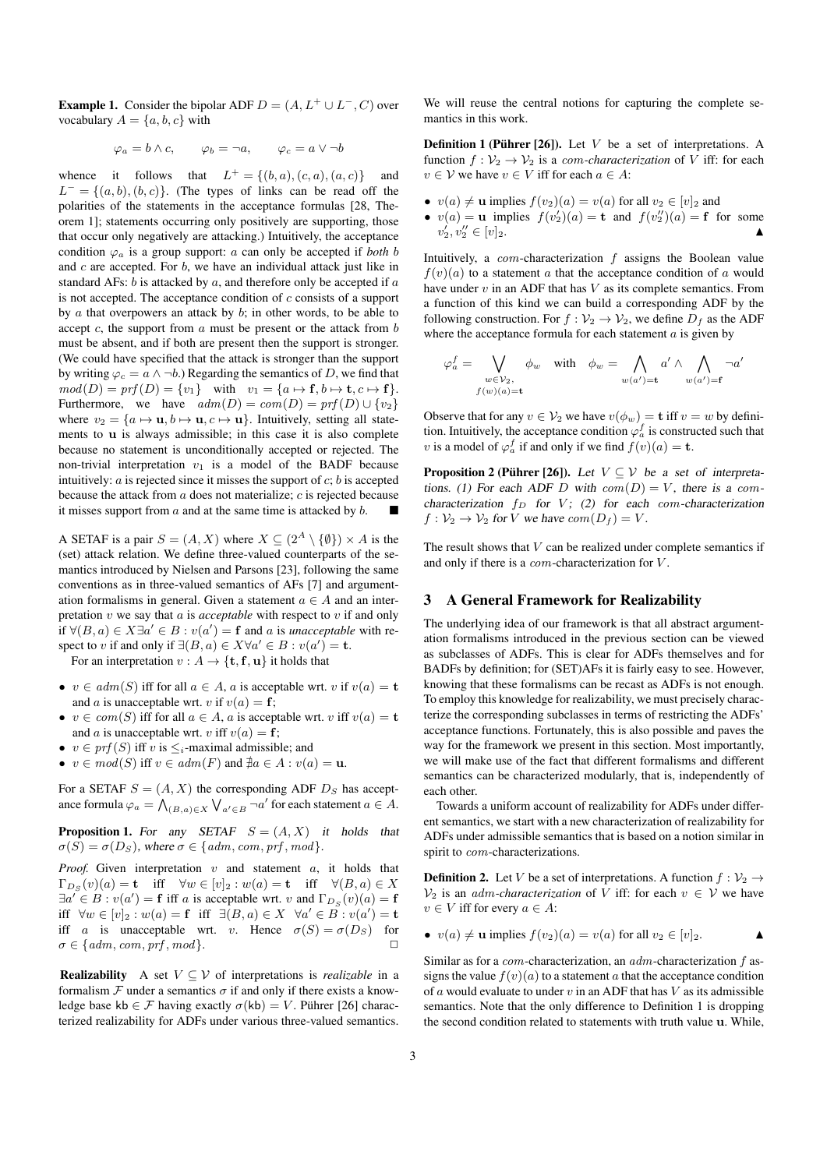**Example 1.** Consider the bipolar ADF  $D = (A, L^+ \cup L^-, C)$  over vocabulary  $A = \{a, b, c\}$  with

 $\varphi_a = b \wedge c, \qquad \varphi_b = \neg a, \qquad \varphi_c = a \vee \neg b$ 

whence it follows that  $L^+ = \{(b, a), (c, a), (a, c)\}\$  and  $L^- = \{(a, b), (b, c)\}.$  (The types of links can be read off the polarities of the statements in the acceptance formulas [28, Theorem 1]; statements occurring only positively are supporting, those that occur only negatively are attacking.) Intuitively, the acceptance condition  $\varphi_a$  is a group support: a can only be accepted if *both* b and  $c$  are accepted. For  $b$ , we have an individual attack just like in standard AFs:  $b$  is attacked by  $a$ , and therefore only be accepted if  $a$ is not accepted. The acceptance condition of  $c$  consists of a support by  $\alpha$  that overpowers an attack by  $\delta$ ; in other words, to be able to accept c, the support from  $\alpha$  must be present or the attack from  $\beta$ must be absent, and if both are present then the support is stronger. (We could have specified that the attack is stronger than the support by writing  $\varphi_c = a \wedge \neg b$ .) Regarding the semantics of D, we find that  $mod(D) = prf(D) = \{v_1\}$  with  $v_1 = \{a \mapsto f, b \mapsto t, c \mapsto f\}.$ Furthermore, we have  $adm(D) = com(D) = prf(D) \cup \{v_2\}$ where  $v_2 = \{a \mapsto \mathbf{u}, b \mapsto \mathbf{u}, c \mapsto \mathbf{u}\}\$ . Intuitively, setting all statements to u is always admissible; in this case it is also complete because no statement is unconditionally accepted or rejected. The non-trivial interpretation  $v_1$  is a model of the BADF because intuitively:  $a$  is rejected since it misses the support of  $c$ ;  $b$  is accepted because the attack from  $a$  does not materialize;  $c$  is rejected because it misses support from  $\alpha$  and at the same time is attacked by  $\beta$ .

A SETAF is a pair  $S = (A, X)$  where  $X \subseteq (2^A \setminus \{\emptyset\}) \times A$  is the (set) attack relation. We define three-valued counterparts of the semantics introduced by Nielsen and Parsons [23], following the same conventions as in three-valued semantics of AFs [7] and argumentation formalisms in general. Given a statement  $a \in A$  and an interpretation v we say that a is *acceptable* with respect to v if and only if  $\forall (B, a) \in X \exists a' \in B : v(a') = \mathbf{f}$  and a is *unacceptable* with respect to v if and only if  $\exists (B, a) \in X \forall a' \in B : v(a') = t$ .

For an interpretation  $v : A \to \{\mathbf{t}, \mathbf{f}, \mathbf{u}\}\)$  it holds that

- $v \in adm(S)$  iff for all  $a \in A$ , a is acceptable wrt. v if  $v(a) = t$ and a is unacceptable wrt. v if  $v(a) = f$ ;
- $v \in com(S)$  iff for all  $a \in A$ , a is acceptable wrt. v iff  $v(a) = t$ and a is unacceptable wrt. v iff  $v(a) = f$ ;
- $v \in prf(S)$  iff v is  $\leq_i$ -maximal admissible; and
- $v \in mod(S)$  iff  $v \in adm(F)$  and  $\nexists a \in A : v(a) = u$ .

For a SETAF  $S = (A, X)$  the corresponding ADF  $D<sub>S</sub>$  has acceptance formula  $\varphi_a = \bigwedge_{(B,a)\in X} \bigvee_{a'\in B} \neg a'$  for each statement  $a\in A$ .

**Proposition 1.** For any SETAF  $S = (A, X)$  it holds that  $\sigma(S) = \sigma(D_S)$ , where  $\sigma \in \{adm, com, prf, mod\}$ .

*Proof.* Given interpretation  $v$  and statement  $a$ , it holds that  $\Gamma_{D_S}(v)(a) = \mathbf{t}$  iff  $\forall w \in [v]_2 : w(a) = \mathbf{t}$  iff  $\forall (B, a) \in X$  $\exists a' \in B : v(a') = \mathbf{f}$  iff a is acceptable wrt. v and  $\Gamma_{D_S}(v)(a) = \mathbf{f}$ iff  $\forall w \in [v]_2 : w(a) = \mathbf{f}$  iff  $\exists (B, a) \in X \ \forall a' \in \overline{B} : v(a') = \mathbf{t}$ iff a is unacceptable wrt. v. Hence  $\sigma(S) = \sigma(D_S)$  for  $\sigma \in \{adm, com, prf, mod\}.$ 

**Realizability** A set  $V \subseteq V$  of interpretations is *realizable* in a formalism  $\mathcal F$  under a semantics  $\sigma$  if and only if there exists a knowledge base kb  $\in \mathcal{F}$  having exactly  $\sigma$ (kb) = V. Pührer [26] characterized realizability for ADFs under various three-valued semantics.

We will reuse the central notions for capturing the complete semantics in this work.

**Definition 1 (Pührer [26]).** Let  $V$  be a set of interpretations. A function  $f: \mathcal{V}_2 \to \mathcal{V}_2$  is a *com-characterization* of V iff: for each  $v \in V$  we have  $v \in V$  iff for each  $a \in A$ :

- $v(a) \neq u$  implies  $f(v_2)(a) = v(a)$  for all  $v_2 \in [v]_2$  and
- $v(a) = u$  implies  $f(v_2')(a) = t$  and  $f(v_2'')(a) = f$  for some  $v'_2, v''_2 \in [v]_2.$

Intuitively, a  $com$ -characterization  $f$  assigns the Boolean value  $f(v)(a)$  to a statement a that the acceptance condition of a would have under  $v$  in an ADF that has  $V$  as its complete semantics. From a function of this kind we can build a corresponding ADF by the following construction. For  $f: \mathcal{V}_2 \to \mathcal{V}_2$ , we define  $D_f$  as the ADF where the acceptance formula for each statement  $a$  is given by

$$
\varphi_a^f = \bigvee_{\substack{w \in \mathcal{V}_2, \\ f(w)(a) = \mathbf{t}}} \phi_w \quad \text{with} \quad \phi_w = \bigwedge_{w(a') = \mathbf{t}} a' \wedge \bigwedge_{w(a') = \mathbf{f}} \neg a'
$$

Observe that for any  $v \in V_2$  we have  $v(\phi_w) = \mathbf{t}$  iff  $v = w$  by definition. Intuitively, the acceptance condition  $\varphi_a^f$  is constructed such that v is a model of  $\varphi_a^f$  if and only if we find  $f(v)(a) = \mathbf{t}$ .

**Proposition 2 (Pührer [26]).** Let  $V \subseteq V$  be a set of interpretations. (1) For each ADF D with  $com(D) = V$ , there is a comcharacterization  $f_D$  for V; (2) for each com-characterization  $f: \mathcal{V}_2 \to \mathcal{V}_2$  for V we have  $com(D_f) = V$ .

The result shows that  $V$  can be realized under complete semantics if and only if there is a *com*-characterization for V.

#### 3 A General Framework for Realizability

The underlying idea of our framework is that all abstract argumentation formalisms introduced in the previous section can be viewed as subclasses of ADFs. This is clear for ADFs themselves and for BADFs by definition; for (SET)AFs it is fairly easy to see. However, knowing that these formalisms can be recast as ADFs is not enough. To employ this knowledge for realizability, we must precisely characterize the corresponding subclasses in terms of restricting the ADFs' acceptance functions. Fortunately, this is also possible and paves the way for the framework we present in this section. Most importantly, we will make use of the fact that different formalisms and different semantics can be characterized modularly, that is, independently of each other.

Towards a uniform account of realizability for ADFs under different semantics, we start with a new characterization of realizability for ADFs under admissible semantics that is based on a notion similar in spirit to *com*-characterizations.

**Definition 2.** Let V be a set of interpretations. A function  $f: \mathcal{V}_2 \rightarrow$  $\mathcal{V}_2$  is an *adm-characterization* of V iff: for each  $v \in \mathcal{V}$  we have  $v\in V$  iff for every  $a\in A$  :

• 
$$
v(a) \neq \mathbf{u}
$$
 implies  $f(v_2)(a) = v(a)$  for all  $v_2 \in [v]_2$ .

Similar as for a  $com$ -characterization, an  $adm$ -characterization  $f$  assigns the value  $f(v)(a)$  to a statement a that the acceptance condition of  $a$  would evaluate to under  $v$  in an ADF that has  $V$  as its admissible semantics. Note that the only difference to Definition 1 is dropping the second condition related to statements with truth value u. While,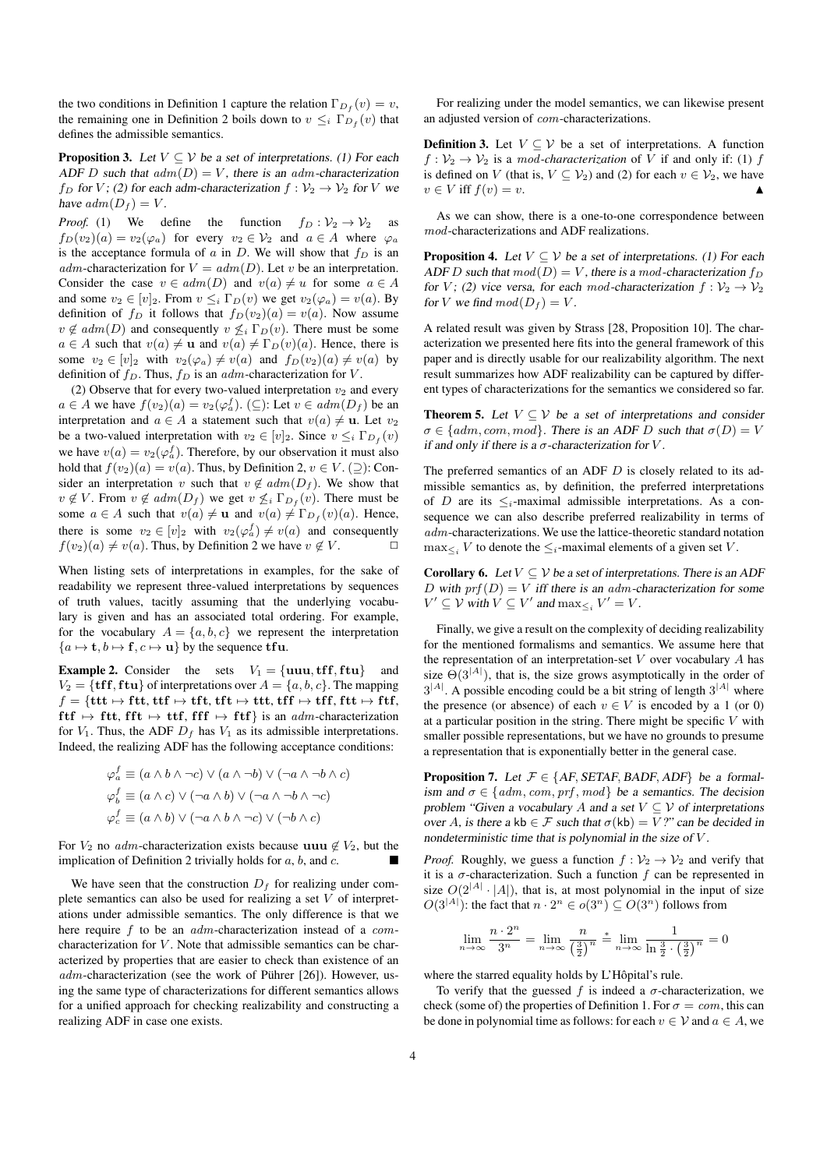the two conditions in Definition 1 capture the relation  $\Gamma_{D_f}(v) = v$ , the remaining one in Definition 2 boils down to  $v \leq_i \Gamma_{D_f}(v)$  that defines the admissible semantics.

**Proposition 3.** Let  $V \subseteq V$  be a set of interpretations. (1) For each ADF D such that  $adm(D) = V$ , there is an adm-characterization f<sub>D</sub> for V; (2) for each adm-characterization  $f: V_2 \to V_2$  for V we have  $adm(D_f) = V$ .

*Proof.* (1) We define the function  $f_D : \mathcal{V}_2 \to \mathcal{V}_2$  as  $f_D(v_2)(a) = v_2(\varphi_a)$  for every  $v_2 \in V_2$  and  $a \in A$  where  $\varphi_a$ is the acceptance formula of a in D. We will show that  $f_D$  is an adm-characterization for  $V = adm(D)$ . Let v be an interpretation. Consider the case  $v \in adm(D)$  and  $v(a) \neq u$  for some  $a \in A$ and some  $v_2 \in [v]_2$ . From  $v \leq_i \Gamma_D(v)$  we get  $v_2(\varphi_a) = v(a)$ . By definition of  $f_D$  it follows that  $f_D(v_2)(a) = v(a)$ . Now assume  $v \notin adm(D)$  and consequently  $v \nleq_i \Gamma_D(v)$ . There must be some  $a \in A$  such that  $v(a) \neq u$  and  $v(a) \neq \Gamma_D(v)(a)$ . Hence, there is some  $v_2 \in [v]_2$  with  $v_2(\varphi_a) \neq v(a)$  and  $f_D(v_2)(a) \neq v(a)$  by definition of  $f_D$ . Thus,  $f_D$  is an adm-characterization for V.

(2) Observe that for every two-valued interpretation  $v_2$  and every  $a \in A$  we have  $f(v_2)(a) = v_2(\varphi_a^f)$ . ( $\subseteq$ ): Let  $v \in adm(D_f)$  be an interpretation and  $a \in A$  a statement such that  $v(a) \neq u$ . Let  $v_2$ be a two-valued interpretation with  $v_2 \in [v]_2$ . Since  $v \leq_i \Gamma_{D_f}(v)$ we have  $v(a) = v_2(\varphi_a^f)$ . Therefore, by our observation it must also hold that  $f(v_2)(a) = v(a)$ . Thus, by Definition 2,  $v \in V$ . ( $\supset$ ): Consider an interpretation v such that  $v \notin adm(D_f)$ . We show that  $v \notin V$ . From  $v \notin adm(D_f)$  we get  $v \nleq_i \Gamma_{D_f}(v)$ . There must be some  $a \in A$  such that  $v(a) \neq \mathbf{u}$  and  $v(a) \neq \Gamma_{D_f}(v)(a)$ . Hence, there is some  $v_2 \in [v]_2$  with  $v_2(\varphi_a^f) \neq v(a)$  and consequently  $f(v_2)(a) \neq v(a)$ . Thus, by Definition 2 we have  $v \notin V$ .

When listing sets of interpretations in examples, for the sake of readability we represent three-valued interpretations by sequences of truth values, tacitly assuming that the underlying vocabulary is given and has an associated total ordering. For example, for the vocabulary  $A = \{a, b, c\}$  we represent the interpretation  ${a \mapsto t, b \mapsto f, c \mapsto u}$  by the sequence tfu.

**Example 2.** Consider the sets  $V_1 = \{uuu, tff, ftu\}$  and  $V_2 = \{ \text{tff}, \text{ftu} \}$  of interpretations over  $A = \{a, b, c\}$ . The mapping  $f = \{ \text{ttt} \mapsto \text{ftt}, \text{ttf} \mapsto \text{ttft}, \text{ttf} \mapsto \text{ttt}, \text{ttf} \mapsto \text{ttff}, \text{ftt} \mapsto \text{ftf},$  $\text{ftf} \mapsto \text{ftt}, \text{fft} \mapsto \text{ttf}, \text{fff} \mapsto \text{ftf}$  is an adm-characterization for  $V_1$ . Thus, the ADF  $D_f$  has  $V_1$  as its admissible interpretations. Indeed, the realizing ADF has the following acceptance conditions:

$$
\varphi_a^f \equiv (a \wedge b \wedge \neg c) \vee (a \wedge \neg b) \vee (\neg a \wedge \neg b \wedge c)
$$
  

$$
\varphi_b^f \equiv (a \wedge c) \vee (\neg a \wedge b) \vee (\neg a \wedge \neg b \wedge \neg c)
$$
  

$$
\varphi_c^f \equiv (a \wedge b) \vee (\neg a \wedge b \wedge \neg c) \vee (\neg b \wedge c)
$$

For  $V_2$  no *adm*-characterization exists because uuu  $\notin V_2$ , but the implication of Definition 2 trivially holds for  $a, b$ , and  $c$ .

We have seen that the construction  $D_f$  for realizing under complete semantics can also be used for realizing a set  $V$  of interpretations under admissible semantics. The only difference is that we here require f to be an *adm*-characterization instead of a *com*characterization for  $V$ . Note that admissible semantics can be characterized by properties that are easier to check than existence of an  $adm$ -characterization (see the work of Pührer [26]). However, using the same type of characterizations for different semantics allows for a unified approach for checking realizability and constructing a realizing ADF in case one exists.

For realizing under the model semantics, we can likewise present an adjusted version of com-characterizations.

**Definition 3.** Let  $V \subseteq V$  be a set of interpretations. A function  $f: \mathcal{V}_2 \to \mathcal{V}_2$  is a *mod-characterization* of V if and only if: (1) f is defined on V (that is,  $V \subseteq V_2$ ) and (2) for each  $v \in V_2$ , we have  $v \in V$  iff  $f(v) = v$ .

As we can show, there is a one-to-one correspondence between mod-characterizations and ADF realizations.

**Proposition 4.** Let  $V \subset V$  be a set of interpretations. (1) For each ADF D such that  $mod(D) = V$ , there is a mod-characterization  $f_D$ for V; (2) vice versa, for each mod-characterization  $f: V_2 \to V_2$ for V we find  $mod(D_f) = V$ .

A related result was given by Strass [28, Proposition 10]. The characterization we presented here fits into the general framework of this paper and is directly usable for our realizability algorithm. The next result summarizes how ADF realizability can be captured by different types of characterizations for the semantics we considered so far.

**Theorem 5.** Let  $V \subseteq V$  be a set of interpretations and consider  $\sigma \in \{adm, com, mod\}$ . There is an ADF D such that  $\sigma(D) = V$ if and only if there is a  $\sigma$ -characterization for V.

The preferred semantics of an ADF  $D$  is closely related to its admissible semantics as, by definition, the preferred interpretations of D are its  $\leq_i$ -maximal admissible interpretations. As a consequence we can also describe preferred realizability in terms of adm-characterizations. We use the lattice-theoretic standard notation  $\max_{\leq i} V$  to denote the  $\leq_i$ -maximal elements of a given set V.

**Corollary 6.** Let  $V \subseteq V$  be a set of interpretations. There is an ADF D with  $prf(D) = V$  iff there is an adm-characterization for some  $V' \subseteq V$  with  $V \subseteq V'$  and  $\max_{\leq i} V' = V$ .

Finally, we give a result on the complexity of deciding realizability for the mentioned formalisms and semantics. We assume here that the representation of an interpretation-set  $V$  over vocabulary  $A$  has size  $\Theta(3^{|A|})$ , that is, the size grows asymptotically in the order of  $3^{|A|}$ . A possible encoding could be a bit string of length  $3^{|A|}$  where the presence (or absence) of each  $v \in V$  is encoded by a 1 (or 0) at a particular position in the string. There might be specific  $V$  with smaller possible representations, but we have no grounds to presume a representation that is exponentially better in the general case.

**Proposition 7.** Let  $\mathcal{F} \in \{AF, SETAF, BADF, ADF\}$  be a formalism and  $\sigma \in \{adm, com, prf, mod\}$  be a semantics. The decision problem "Given a vocabulary A and a set  $V \subseteq V$  of interpretations over A, is there a kb  $\in \mathcal{F}$  such that  $\sigma$ (kb) = V?" can be decided in nondeterministic time that is polynomial in the size of V .

*Proof.* Roughly, we guess a function  $f: V_2 \to V_2$  and verify that it is a  $\sigma$ -characterization. Such a function f can be represented in size  $O(2^{|A|} \cdot |A|)$ , that is, at most polynomial in the input of size  $O(3^{|A|})$ : the fact that  $n \cdot 2^n \in o(3^n) \subseteq O(3^n)$  follows from

$$
\lim_{n \to \infty} \frac{n \cdot 2^n}{3^n} = \lim_{n \to \infty} \frac{n}{\left(\frac{3}{2}\right)^n} \stackrel{*}{=} \lim_{n \to \infty} \frac{1}{\ln \frac{3}{2} \cdot \left(\frac{3}{2}\right)^n} = 0
$$

where the starred equality holds by L'Hôpital's rule.

To verify that the guessed f is indeed a  $\sigma$ -characterization, we check (some of) the properties of Definition 1. For  $\sigma = com$ , this can be done in polynomial time as follows: for each  $v \in V$  and  $a \in A$ , we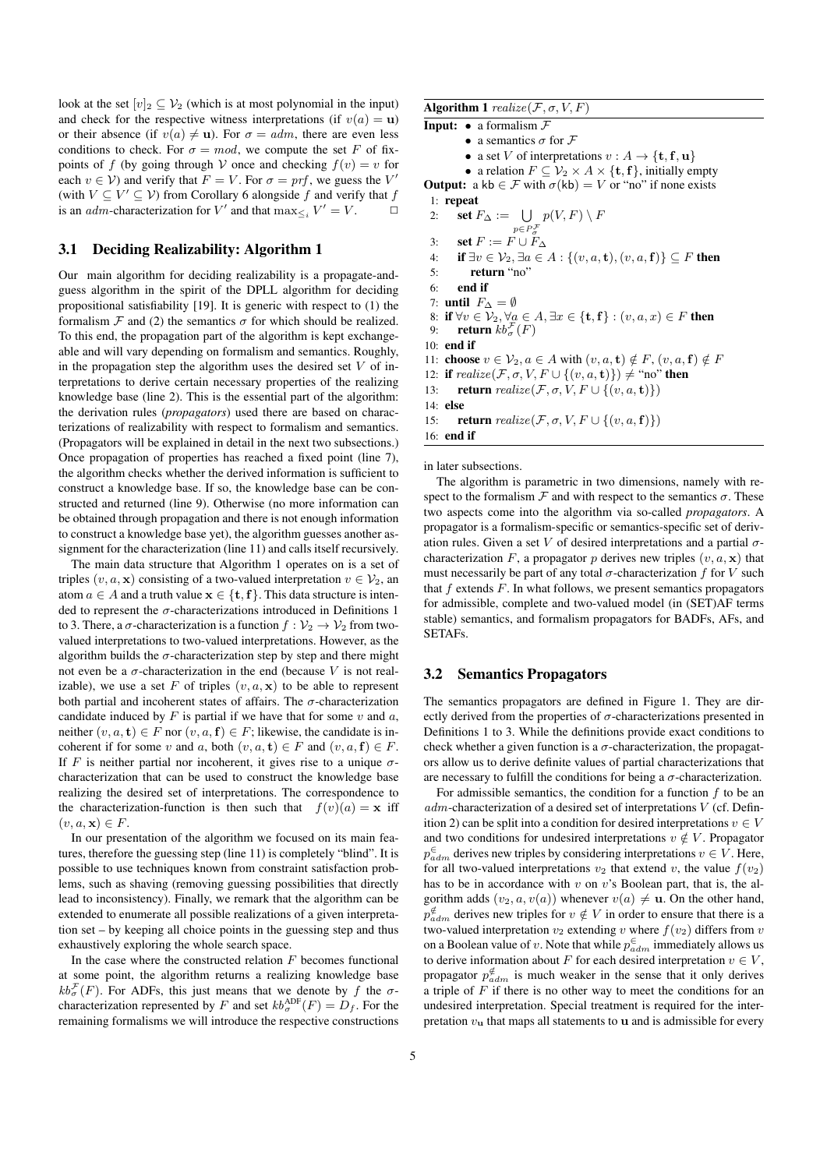look at the set  $[v]_2 \subseteq V_2$  (which is at most polynomial in the input) and check for the respective witness interpretations (if  $v(a) = u$ ) or their absence (if  $v(a) \neq u$ ). For  $\sigma = adm$ , there are even less conditions to check. For  $\sigma = mod$ , we compute the set F of fixpoints of f (by going through V once and checking  $f(v) = v$  for each  $v \in V$ ) and verify that  $F = V$ . For  $\sigma = prf$ , we guess the V' (with  $V \subseteq V' \subseteq V$ ) from Corollary 6 alongside f and verify that f is an *adm*-characterization for V' and that  $\max_{\leq i} V' = V$ .  $\Box$ 

# 3.1 Deciding Realizability: Algorithm 1

Our main algorithm for deciding realizability is a propagate-andguess algorithm in the spirit of the DPLL algorithm for deciding propositional satisfiability [19]. It is generic with respect to (1) the formalism  $\mathcal F$  and (2) the semantics  $\sigma$  for which should be realized. To this end, the propagation part of the algorithm is kept exchangeable and will vary depending on formalism and semantics. Roughly, in the propagation step the algorithm uses the desired set  $V$  of interpretations to derive certain necessary properties of the realizing knowledge base (line 2). This is the essential part of the algorithm: the derivation rules (*propagators*) used there are based on characterizations of realizability with respect to formalism and semantics. (Propagators will be explained in detail in the next two subsections.) Once propagation of properties has reached a fixed point (line 7), the algorithm checks whether the derived information is sufficient to construct a knowledge base. If so, the knowledge base can be constructed and returned (line 9). Otherwise (no more information can be obtained through propagation and there is not enough information to construct a knowledge base yet), the algorithm guesses another assignment for the characterization (line 11) and calls itself recursively.

The main data structure that Algorithm 1 operates on is a set of triples  $(v, a, x)$  consisting of a two-valued interpretation  $v \in V_2$ , an atom  $a \in A$  and a truth value  $\mathbf{x} \in \{\mathbf{t}, \mathbf{f}\}\)$ . This data structure is intended to represent the  $\sigma$ -characterizations introduced in Definitions 1 to 3. There, a  $\sigma$ -characterization is a function  $f : \mathcal{V}_2 \to \mathcal{V}_2$  from twovalued interpretations to two-valued interpretations. However, as the algorithm builds the  $\sigma$ -characterization step by step and there might not even be a  $\sigma$ -characterization in the end (because V is not realizable), we use a set F of triples  $(v, a, x)$  to be able to represent both partial and incoherent states of affairs. The  $\sigma$ -characterization candidate induced by  $F$  is partial if we have that for some  $v$  and  $a$ , neither  $(v, a, t) \in F$  nor  $(v, a, f) \in F$ ; likewise, the candidate is incoherent if for some v and a, both  $(v, a, t) \in F$  and  $(v, a, f) \in F$ . If F is neither partial nor incoherent, it gives rise to a unique  $\sigma$ characterization that can be used to construct the knowledge base realizing the desired set of interpretations. The correspondence to the characterization-function is then such that  $f(v)(a) = \mathbf{x}$  iff  $(v, a, \mathbf{x}) \in F$ .

In our presentation of the algorithm we focused on its main features, therefore the guessing step (line 11) is completely "blind". It is possible to use techniques known from constraint satisfaction problems, such as shaving (removing guessing possibilities that directly lead to inconsistency). Finally, we remark that the algorithm can be extended to enumerate all possible realizations of a given interpretation set – by keeping all choice points in the guessing step and thus exhaustively exploring the whole search space.

In the case where the constructed relation  $F$  becomes functional at some point, the algorithm returns a realizing knowledge base  $kb_{\sigma}^{\mathcal{F}}(F)$ . For ADFs, this just means that we denote by f the  $\sigma$ characterization represented by F and set  $kb_{\sigma}^{\text{ADE}}(F) = D_f$ . For the remaining formalisms we will introduce the respective constructions Algorithm 1  $\text{realize}(\mathcal{F}, \sigma, V, F)$ 

**Input:**  $\bullet$  a formalism  $\mathcal{F}$ 

• a semantics  $\sigma$  for  $\mathcal F$ 

• a set V of interpretations  $v : A \to \{t, f, u\}$ 

• a relation  $F \subseteq \mathcal{V}_2 \times A \times \{\mathbf{t}, \mathbf{f}\}\)$ , initially empty **Output:** a kb  $\in \mathcal{F}$  with  $\sigma$ (kb) = V or "no" if none exists 1: repeat

2: **set**  $F_{\Delta} := \bigcup_{p \in P_{\sigma}^{\mathcal{F}}}$  $p(V,F) \setminus F$ 3: set  $F := F \cup F_{\Delta}$ 4: if  $\exists v \in \mathcal{V}_2, \exists a \in A : \{(v, a, t), (v, a, f)\} \subseteq F$  then 5: return "no" 6: end if 7: **until**  $F_{\Delta} = \emptyset$ 8: if  $\forall v \in \mathcal{V}_2, \forall a \in A, \exists x \in \{\mathbf{t}, \mathbf{f}\} : (v, a, x) \in F$  then 9: **return**  $kb_{\sigma}^{\mathcal{F}}(F)$ 10: end if 11: **choose**  $v \in V_2, a \in A$  with  $(v, a, t) \notin F$ ,  $(v, a, f) \notin F$ 12: if  $\text{realize}(\mathcal{F}, \sigma, V, F \cup \{(v, a, t)\}) \neq \text{``no''}$  then 13: **return** realize( $\mathcal{F}, \sigma, V, F \cup \{(v, a, t)\}\)$ 14: else 15: **return** realize( $\mathcal{F}, \sigma, V, F \cup \{(v, a, f)\}\)$ 16: end if

in later subsections.

The algorithm is parametric in two dimensions, namely with respect to the formalism  $\mathcal F$  and with respect to the semantics  $\sigma$ . These two aspects come into the algorithm via so-called *propagators*. A propagator is a formalism-specific or semantics-specific set of derivation rules. Given a set V of desired interpretations and a partial  $\sigma$ characterization F, a propagator p derives new triples  $(v, a, x)$  that must necessarily be part of any total  $\sigma$ -characterization f for V such that  $f$  extends  $F$ . In what follows, we present semantics propagators for admissible, complete and two-valued model (in (SET)AF terms stable) semantics, and formalism propagators for BADFs, AFs, and SETAFs.

# 3.2 Semantics Propagators

The semantics propagators are defined in Figure 1. They are directly derived from the properties of  $\sigma$ -characterizations presented in Definitions 1 to 3. While the definitions provide exact conditions to check whether a given function is a  $\sigma$ -characterization, the propagators allow us to derive definite values of partial characterizations that are necessary to fulfill the conditions for being a  $\sigma$ -characterization.

For admissible semantics, the condition for a function  $f$  to be an  $adm$ -characterization of a desired set of interpretations  $V$  (cf. Definition 2) can be split into a condition for desired interpretations  $v \in V$ and two conditions for undesired interpretations  $v \notin V$ . Propagator  $p_{adm}^{\in}$  derives new triples by considering interpretations  $v \in V$ . Here, for all two-valued interpretations  $v_2$  that extend v, the value  $f(v_2)$ has to be in accordance with  $v$  on  $v$ 's Boolean part, that is, the algorithm adds  $(v_2, a, v(a))$  whenever  $v(a) \neq \mathbf{u}$ . On the other hand,  $p_{adm}^{\notin}$  derives new triples for  $v \notin V$  in order to ensure that there is a two-valued interpretation  $v_2$  extending v where  $f(v_2)$  differs from v on a Boolean value of v. Note that while  $p_{adm}^{\infty}$  immediately allows us to derive information about F for each desired interpretation  $v \in V$ , propagator  $p_{adm}^{\notin}$  is much weaker in the sense that it only derives a triple of  $F$  if there is no other way to meet the conditions for an undesired interpretation. Special treatment is required for the interpretation  $v_{\rm u}$  that maps all statements to **u** and is admissible for every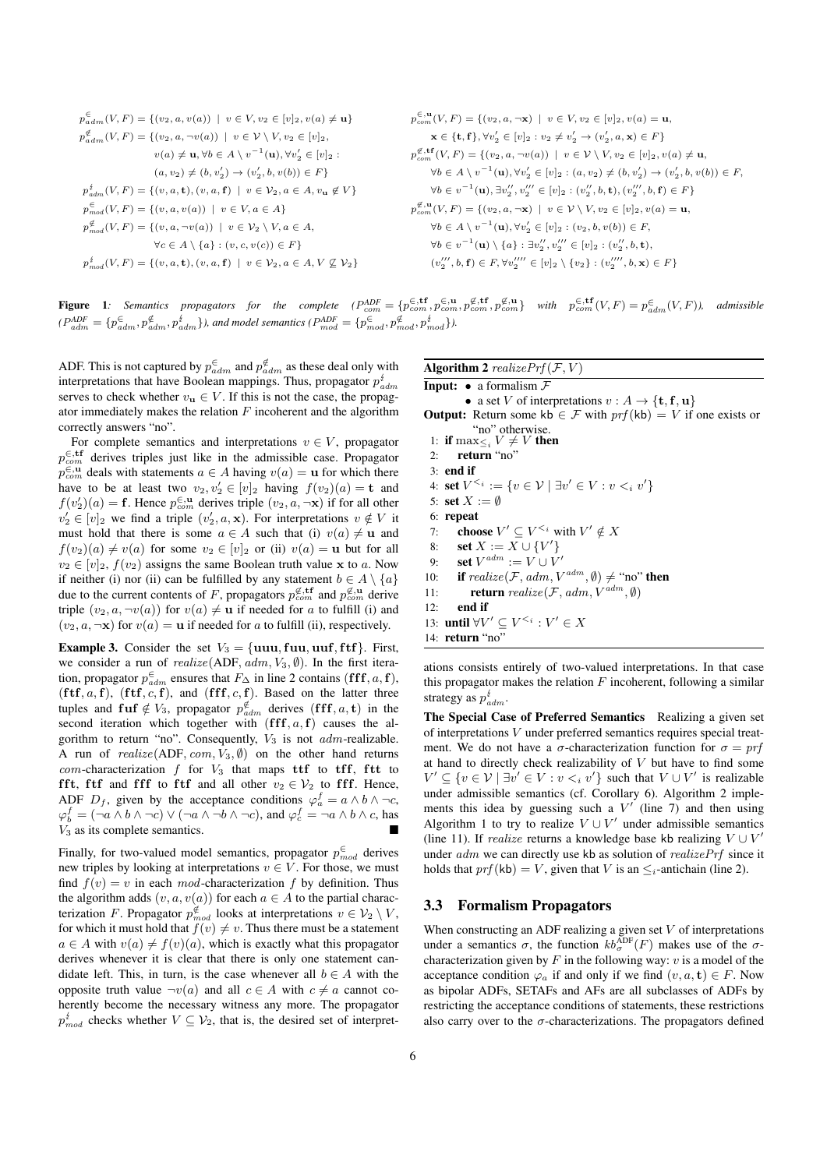$$
p_{adm}^{\epsilon}(V, F) = \{(v_2, a, v(a)) \mid v \in V, v_2 \in [v]_2, v(a) \neq \mathbf{u}\}
$$
\n
$$
p_{adm}^{\epsilon}(V, F) = \{(v_2, a, v(a)) \mid v \in V \setminus V, v_2 \in [v]_2, v(a) \neq \mathbf{u}\}
$$
\n
$$
p_{adm}^{\epsilon}(V, F) = \{(v_2, a, v(a)) \mid v \in V \setminus V, v_2 \in [v]_2\}
$$
\n
$$
v(a) \neq \mathbf{u}, \forall b \in A \setminus v^{-1}(\mathbf{u}), \forall v_2' \in [v]_2\}
$$
\n
$$
p_{adm}^{\epsilon}(V, F) = \{(v, a, v(a)) \mid v \in V \setminus V, v_2 \in [v]_2\}
$$
\n
$$
p_{adm}^{\epsilon}(V, F) = \{(v, a, v(a)) \mid v \in V_2, a \in A, v_u \notin V\}
$$
\n
$$
p_{adm}^{\epsilon}(V, F) = \{(v, a, v(a)) \mid v \in V_2, a \in A, v_u \notin V\}
$$
\n
$$
p_{adm}^{\epsilon}(V, F) = \{(v, a, v(a)) \mid v \in V_2, a \in A, v_u \notin V\}
$$
\n
$$
p_{adm}^{\epsilon}(V, F) = \{(v, a, v(a)) \mid v \in V_2, a \in A, v_u \notin V\}
$$
\n
$$
p_{b}^{\epsilon}(V, F) = \{(v, a, v(a)) \mid v \in V_2 \setminus V, a \in A\}
$$
\n
$$
p_{b}^{\epsilon}(V, F) = \{(v, a, v(a)) \mid v \in V_2 \setminus V, a \in A, v_u \notin V\}
$$
\n
$$
p_{b}^{\epsilon}(V, F) = \{(v, a, v(a)) \mid v \in V_2 \setminus V, a \in A, v_u \notin V\}
$$
\n
$$
p_{b}^{\epsilon}(V, F) = \{(v, a, v(a)) \mid v \in V_2 \setminus V, a \in A, v_u \notin V\}
$$
\n
$$
p_{b}^{\epsilon}(V, F) = \{(v, a, v(a)) \mid v \in V
$$

**Figure 1**: Semantics propagators for the complete  $(P_{com}^{ADE} = \{p_{com}^{\in, \text{tf}}, p_{com}^{\in, \text{u}}, p_{com}^{\emptyset, \text{tr}}, p_{com}^{\emptyset, \text{u}}\}$  with  $p_{com}^{\in, \text{tf}}(V, F) = p_{adm}^{\in}(V, F)$ , admissible  $(P_{adm}^{ADF} = \{p_{adm}^{\infty}, p_{adm}^{\notin}, p_{adm}^{\notin}\})$ , and model semantics  $(P_{mod}^{ADF} = \{p_{mod}^{\in}, p_{mod}^{\notin}, p_{mod}^{\notin}\})$ .

ADF. This is not captured by  $p_{adm}^{\infty}$  and  $p_{adm}^{\notinfty}$  as these deal only with interpretations that have Boolean mappings. Thus, propagator  $p_{adm}^t$ serves to check whether  $v_{\mathbf{u}} \in V$ . If this is not the case, the propagator immediately makes the relation  $F$  incoherent and the algorithm correctly answers "no".

For complete semantics and interpretations  $v \in V$ , propagator  $p_{com}^{\in \text{,tf}}$  derives triples just like in the admissible case. Propagator  $p_{com}^{\in, \mathbf{u}}$  deals with statements  $a \in A$  having  $v(a) = \mathbf{u}$  for which there have to be at least two  $v_2, v_2' \in [v]_2$  having  $f(v_2)(a) = \mathbf{t}$  and  $f(v_2')(a) = \mathbf{f}$ . Hence  $p_{com}^{\infty}$  derives triple  $(v_2, a, \neg \mathbf{x})$  if for all other  $v_2' \in [v]_2$  we find a triple  $(v_2', a, \mathbf{x})$ . For interpretations  $v \notin V$  it must hold that there is some  $a \in A$  such that (i)  $v(a) \neq u$  and  $f(v_2)(a) \neq v(a)$  for some  $v_2 \in [v]_2$  or (ii)  $v(a) = u$  but for all  $v_2 \in [v]_2$ ,  $f(v_2)$  assigns the same Boolean truth value x to a. Now if neither (i) nor (ii) can be fulfilled by any statement  $b \in A \setminus \{a\}$ due to the current contents of F, propagators  $p_{com}^{\notin, \text{tf}}$  and  $p_{com}^{\notin, \text{u}}$  derive triple  $(v_2, a, \neg v(a))$  for  $v(a) \neq u$  if needed for a to fulfill (i) and  $(v_2, a, \neg x)$  for  $v(a) = u$  if needed for a to fulfill (ii), respectively.

**Example 3.** Consider the set  $V_3 = \{uuu, fuu, uuf, ftf\}$ . First, we consider a run of  $realize(ADF, adm, V_3, \emptyset)$ . In the first iteration, propagator  $p_{adm}^{\in}$  ensures that  $F_{\Delta}$  in line 2 contains (fff, a, f), (ftf,  $a, f$ ), (ftf,  $c, f$ ), and (fff,  $c, f$ ). Based on the latter three tuples and fuf  $\notin V_3$ , propagator  $p_{adm}^{\notin}$  derives  $(f\mathbf{f} \mathbf{f}, a, \mathbf{t})$  in the second iteration which together with  $(f\, f, a, f)$  causes the algorithm to return "no". Consequently,  $V_3$  is not  $adm$ -realizable. A run of  $realize(ADF, com, V_3, \emptyset)$  on the other hand returns com-characterization  $f$  for  $V_3$  that maps ttf to tff, ftt to fft, ftf and fff to ftf and all other  $v_2 \in V_2$  to fff. Hence, ADF  $D_f$ , given by the acceptance conditions  $\varphi_a^f = a \wedge b \wedge \neg c$ ,  $\varphi_b^f = (\neg a \land b \land \neg c) \lor (\neg a \land \neg b \land \neg c)$ , and  $\varphi_c^f = \neg a \land b \land c$ , has  $V_3$  as its complete semantics.

Finally, for two-valued model semantics, propagator  $p_{mod}^{\in}$  derives new triples by looking at interpretations  $v \in V$ . For those, we must find  $f(v) = v$  in each mod-characterization f by definition. Thus the algorithm adds  $(v, a, v(a))$  for each  $a \in A$  to the partial characterization F. Propagator  $p_{mod}^{\notin}$  looks at interpretations  $v \in V_2 \setminus V$ , for which it must hold that  $f(v) \neq v$ . Thus there must be a statement  $a \in A$  with  $v(a) \neq f(v)(a)$ , which is exactly what this propagator derives whenever it is clear that there is only one statement candidate left. This, in turn, is the case whenever all  $b \in A$  with the opposite truth value  $\neg v(a)$  and all  $c \in A$  with  $c \neq a$  cannot coherently become the necessary witness any more. The propagator  $p_{mod}^{t}$  checks whether  $V \subseteq V_2$ , that is, the desired set of interpretAlgorithm 2 realize  $Prf(\mathcal{F}, V)$ 

**Input:**  $\bullet$  a formalism  $\mathcal{F}$ • a set V of interpretations  $v : A \to \{t, f, u\}$ **Output:** Return some kb  $\in \mathcal{F}$  with  $prf(kb) = V$  if one exists or "no" otherwise.<br>1: **if**  $\max_{i \leq i} V \neq V$  **then** 2: return "no" 3: end if 4: set  $V^{\leq i} := \{v \in \mathcal{V} \mid \exists v' \in V : v \leq_i v'\}$ 5: set  $X := \emptyset$ 6: repeat 7: **choose**  $V' \subseteq V^{\leq i}$  with  $V' \notin X$ 8: **set**  $X := X \cup \{V'\}$ 9: **set**  $V^{adm} := V \cup V'$ 10: **if** realize(F, adm,  $V^{adm}$ ,  $\emptyset$ )  $\neq$  "no" **then** 11: **return** realize( $\mathcal{F}$ , adm,  $V^{adm}$ ,  $\emptyset$ ) 12: end if 13: **until**  $\forall V' \subseteq V^{\leq i} : V' \in X$ 14: return "no"

ations consists entirely of two-valued interpretations. In that case this propagator makes the relation  $F$  incoherent, following a similar strategy as  $p_{adm}^t$ .

The Special Case of Preferred Semantics Realizing a given set of interpretations V under preferred semantics requires special treatment. We do not have a  $\sigma$ -characterization function for  $\sigma = prf$ at hand to directly check realizability of  $V$  but have to find some  $V' \subseteq \{v \in V \mid \exists v' \in V : v \leq_i v'\}$  such that  $V \cup V'$  is realizable under admissible semantics (cf. Corollary 6). Algorithm 2 implements this idea by guessing such a  $V'$  (line 7) and then using Algorithm 1 to try to realize  $V \cup V'$  under admissible semantics (line 11). If *realize* returns a knowledge base kb realizing  $V \cup V'$ under *adm* we can directly use kb as solution of *realizePrf* since it holds that  $prf$ (kb) = V, given that V is an  $\leq_i$ -antichain (line 2).

#### 3.3 Formalism Propagators

When constructing an ADF realizing a given set  $V$  of interpretations under a semantics  $\sigma$ , the function  $kb_{\sigma}^{\text{ADE}}(F)$  makes use of the  $\sigma$ characterization given by  $F$  in the following way:  $v$  is a model of the acceptance condition  $\varphi_a$  if and only if we find  $(v, a, t) \in F$ . Now as bipolar ADFs, SETAFs and AFs are all subclasses of ADFs by restricting the acceptance conditions of statements, these restrictions also carry over to the  $\sigma$ -characterizations. The propagators defined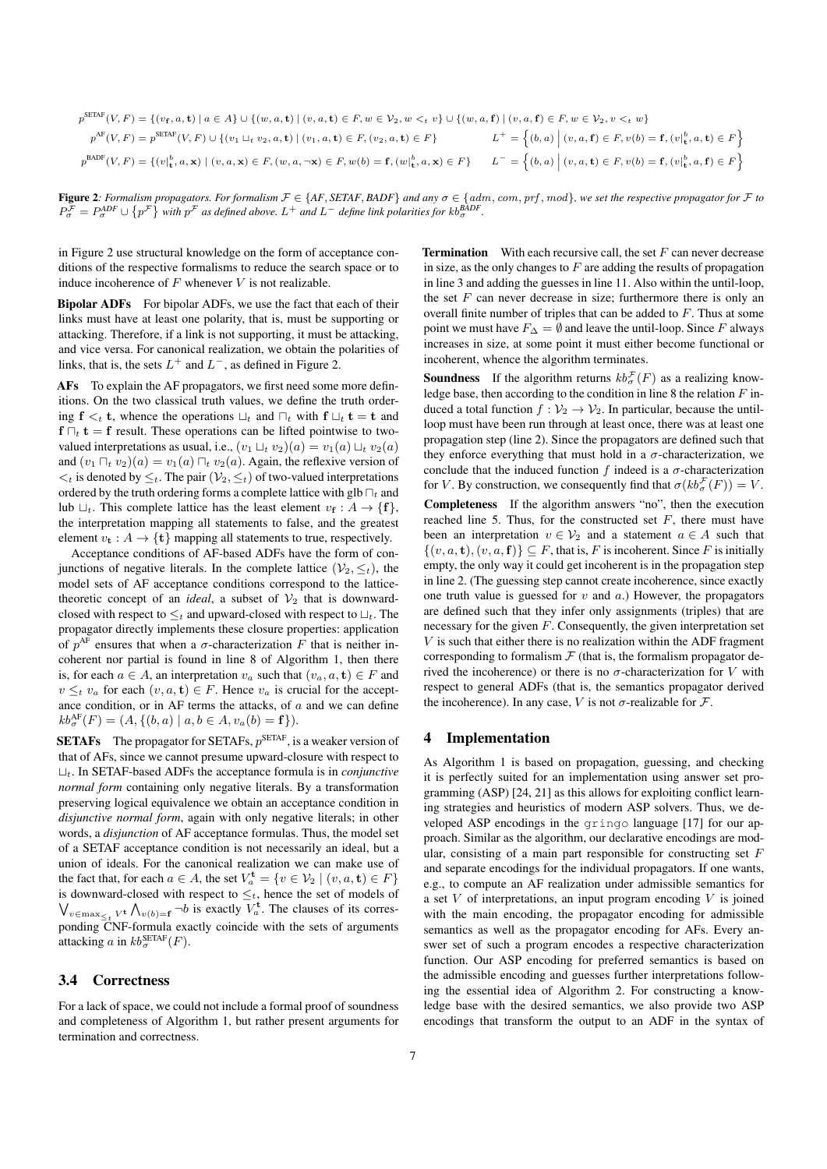$$
p^{\text{SETAF}}(V, F) = \{ (v_{\mathbf{f}}, a, \mathbf{t}) \mid a \in A \} \cup \{ (w, a, \mathbf{t}) \mid (v, a, \mathbf{t}) \in F, w \in V_2, w <_{t} v \} \cup \{ (w, a, \mathbf{f}) \mid (v, a, \mathbf{f}) \in F, w \in V_2, v <_{t} w \}
$$
\n
$$
p^{\text{AF}}(V, F) = p^{\text{SETAF}}(V, F) \cup \{ (v_{1} \sqcup_{t} v_{2}, a, \mathbf{t}) \mid (v_{1}, a, \mathbf{t}) \in F, (v_{2}, a, \mathbf{t}) \in F \}
$$
\n
$$
L^{+} = \left\{ (b, a) \mid (v, a, \mathbf{f}) \in F, v(b) = \mathbf{f}, (v_{\mathbf{f}}, a, \mathbf{t}) \in F \right\}
$$
\n
$$
p^{\text{BADF}}(V, F) = \left\{ (v_{\mathbf{f}}, a, \mathbf{x}) \mid (v, a, \mathbf{x}) \in F, (w, a, \neg \mathbf{x}) \in F, w(b) = \mathbf{f}, (w_{\mathbf{f}}, a, \mathbf{x}) \in F \right\}
$$
\n
$$
L^{-} = \left\{ (b, a) \mid (v, a, \mathbf{t}) \in F, v(b) = \mathbf{f}, (v_{\mathbf{f}}, a, \mathbf{f}) \in F \right\}
$$

Figure 2: Formalism propagators. For formalism  $F \in \{AF, SETAF, BADF\}$  and any  $\sigma \in \{adm, com, prf, mod\}$ , we set the respective propagator for  $F$  to  $P_{\sigma}^{\mathcal{F}} = P_{\sigma}^{ADF} \cup \{p^{\mathcal{F}}\}$  with  $p^{\mathcal{F}}$  as defined above.  $L^+$  and  $L^-$  define link polarities for  $kb_{\sigma}^{BADF}$ .

in Figure 2 use structural knowledge on the form of acceptance conditions of the respective formalisms to reduce the search space or to induce incoherence of  $F$  whenever  $V$  is not realizable.

Bipolar ADFs For bipolar ADFs, we use the fact that each of their links must have at least one polarity, that is, must be supporting or attacking. Therefore, if a link is not supporting, it must be attacking, and vice versa. For canonical realization, we obtain the polarities of links, that is, the sets  $L^+$  and  $L^-$ , as defined in Figure 2.

AFs To explain the AF propagators, we first need some more definitions. On the two classical truth values, we define the truth ordering  $f \lt_t t$ , whence the operations  $\sqcup_t$  and  $\sqcap_t$  with  $f \sqcup_t t = t$  and  $f \bigcap_t \mathbf{t} = f$  result. These operations can be lifted pointwise to twovalued interpretations as usual, i.e.,  $(v_1 \sqcup_t v_2)(a) = v_1(a) \sqcup_t v_2(a)$ and  $(v_1 \sqcap_t v_2)(a) = v_1(a) \sqcap_t v_2(a)$ . Again, the reflexive version of  $\lt_t$  is denoted by  $\leq_t$ . The pair  $(\mathcal{V}_2, \leq_t)$  of two-valued interpretations ordered by the truth ordering forms a complete lattice with glb  $\prod_t$  and lub  $\sqcup_t$ . This complete lattice has the least element  $v_f : A \to \{f\},\$ the interpretation mapping all statements to false, and the greatest element  $v_t : A \to \{t\}$  mapping all statements to true, respectively.

Acceptance conditions of AF-based ADFs have the form of conjunctions of negative literals. In the complete lattice  $(\mathcal{V}_2, \leq_t)$ , the model sets of AF acceptance conditions correspond to the latticetheoretic concept of an *ideal*, a subset of  $V_2$  that is downwardclosed with respect to  $\leq_t$  and upward-closed with respect to  $\sqcup_t$ . The propagator directly implements these closure properties: application of  $p^{AF}$  ensures that when a  $\sigma$ -characterization F that is neither incoherent nor partial is found in line 8 of Algorithm 1, then there is, for each  $a \in A$ , an interpretation  $v_a$  such that  $(v_a, a, t) \in F$  and  $v \leq_t v_a$  for each  $(v, a, t) \in F$ . Hence  $v_a$  is crucial for the acceptance condition, or in AF terms the attacks, of  $a$  and we can define  $kb_{\sigma}^{\text{AF}}(F) = (A, \{(b, a) \mid a, b \in A, v_a(b) = \mathbf{f}\}).$ 

**SETAFs** The propagator for SETAFs,  $p^{\text{SETAF}}$ , is a weaker version of that of AFs, since we cannot presume upward-closure with respect to  $L_t$ . In SETAF-based ADFs the acceptance formula is in *conjunctive normal form* containing only negative literals. By a transformation preserving logical equivalence we obtain an acceptance condition in *disjunctive normal form*, again with only negative literals; in other words, a *disjunction* of AF acceptance formulas. Thus, the model set of a SETAF acceptance condition is not necessarily an ideal, but a union of ideals. For the canonical realization we can make use of the fact that, for each  $a \in A$ , the set  $V_a^{\mathbf{t}} = \{v \in \mathcal{V}_2 \mid (v, a, \mathbf{t}) \in F\}$ is downward-closed with respect to  $\leq_t$ , hence the set of models of  $\bigvee_{v \in \max_{\leq t} V^{\mathbf{t}}} \bigwedge_{v(b)=\mathbf{f}} \neg b$  is exactly  $V_a^{\mathbf{t}}$ . The clauses of its corresponding CNF-formula exactly coincide with the sets of arguments attacking a in  $kb_{\sigma}^{\text{SETAF}}(F)$ .

# 3.4 Correctness

For a lack of space, we could not include a formal proof of soundness and completeness of Algorithm 1, but rather present arguments for termination and correctness.

**Termination** With each recursive call, the set  $F$  can never decrease in size, as the only changes to  $F$  are adding the results of propagation in line 3 and adding the guesses in line 11. Also within the until-loop, the set  $F$  can never decrease in size; furthermore there is only an overall finite number of triples that can be added to F. Thus at some point we must have  $F_\Delta = \emptyset$  and leave the until-loop. Since F always increases in size, at some point it must either become functional or incoherent, whence the algorithm terminates.

**Soundness** If the algorithm returns  $kb_{\sigma}^{\mathcal{F}}(F)$  as a realizing knowledge base, then according to the condition in line 8 the relation  $F$  induced a total function  $f: \mathcal{V}_2 \to \mathcal{V}_2$ . In particular, because the untilloop must have been run through at least once, there was at least one propagation step (line 2). Since the propagators are defined such that they enforce everything that must hold in a  $\sigma$ -characterization, we conclude that the induced function f indeed is a  $\sigma$ -characterization for V. By construction, we consequently find that  $\sigma(kb^{\mathcal{F}}_{\sigma}(F)) = V$ .

Completeness If the algorithm answers "no", then the execution reached line 5. Thus, for the constructed set  $F$ , there must have been an interpretation  $v \in V_2$  and a statement  $a \in A$  such that  $\{(v, a, t), (v, a, f)\}\subseteq F$ , that is, F is incoherent. Since F is initially empty, the only way it could get incoherent is in the propagation step in line 2. (The guessing step cannot create incoherence, since exactly one truth value is guessed for  $v$  and  $a$ .) However, the propagators are defined such that they infer only assignments (triples) that are necessary for the given  $F$ . Consequently, the given interpretation set  $V$  is such that either there is no realization within the ADF fragment corresponding to formalism  $F$  (that is, the formalism propagator derived the incoherence) or there is no  $\sigma$ -characterization for V with respect to general ADFs (that is, the semantics propagator derived the incoherence). In any case, V is not  $\sigma$ -realizable for  $\mathcal{F}$ .

#### 4 Implementation

As Algorithm 1 is based on propagation, guessing, and checking it is perfectly suited for an implementation using answer set programming (ASP) [24, 21] as this allows for exploiting conflict learning strategies and heuristics of modern ASP solvers. Thus, we developed ASP encodings in the gringo language [17] for our approach. Similar as the algorithm, our declarative encodings are modular, consisting of a main part responsible for constructing set  $F$ and separate encodings for the individual propagators. If one wants, e.g., to compute an AF realization under admissible semantics for a set  $V$  of interpretations, an input program encoding  $V$  is joined with the main encoding, the propagator encoding for admissible semantics as well as the propagator encoding for AFs. Every answer set of such a program encodes a respective characterization function. Our ASP encoding for preferred semantics is based on the admissible encoding and guesses further interpretations following the essential idea of Algorithm 2. For constructing a knowledge base with the desired semantics, we also provide two ASP encodings that transform the output to an ADF in the syntax of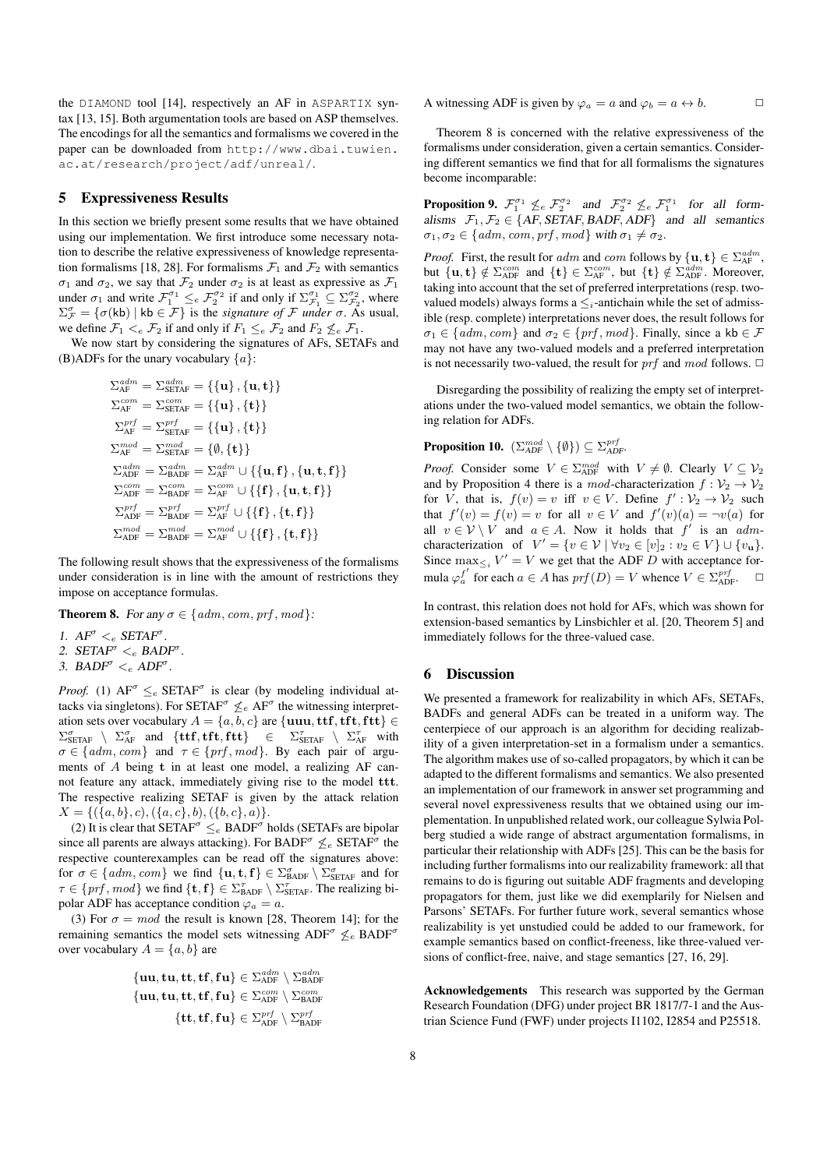the DIAMOND tool [14], respectively an AF in ASPARTIX syntax [13, 15]. Both argumentation tools are based on ASP themselves. The encodings for all the semantics and formalisms we covered in the paper can be downloaded from http://www.dbai.tuwien. ac.at/research/project/adf/unreal/.

#### 5 Expressiveness Results

In this section we briefly present some results that we have obtained using our implementation. We first introduce some necessary notation to describe the relative expressiveness of knowledge representation formalisms [18, 28]. For formalisms  $\mathcal{F}_1$  and  $\mathcal{F}_2$  with semantics  $\sigma_1$  and  $\sigma_2$ , we say that  $\mathcal{F}_2$  under  $\sigma_2$  is at least as expressive as  $\mathcal{F}_1$ under  $\sigma_1$  and write  $\mathcal{F}_1^{\sigma_1} \leq_e \mathcal{F}_2^{\sigma_2}$  if and only if  $\Sigma_{\mathcal{F}_1}^{\sigma_1} \subseteq \Sigma_{\mathcal{F}_2}^{\sigma_2}$ , where  $\Sigma^{\sigma}_{\mathcal{F}} = {\sigma(kb) | kb \in \mathcal{F}}$  is the *signature of*  $\mathcal F$  *under*  $\sigma$ . As usual, we define  $\mathcal{F}_1 \leq_e \mathcal{F}_2$  if and only if  $F_1 \leq_e \mathcal{F}_2$  and  $F_2 \nleq_e \mathcal{F}_1$ .

We now start by considering the signatures of AFs, SETAFs and (B)ADFs for the unary vocabulary  $\{a\}$ :

$$
\begin{aligned} &\Sigma_{\text{AF}}^{\text{adm}} = \Sigma_{\text{SETAF}}^{\text{adm}} = \left\{ \{\mathbf{u}\}, \{\mathbf{u}, \mathbf{t}\} \right\} \\ &\Sigma_{\text{AF}}^{\text{com}} = \Sigma_{\text{SETAF}}^{\text{com}} = \left\{ \{\mathbf{u}\}, \{\mathbf{t}\} \right\} \\ &\Sigma_{\text{AF}}^{\text{prf}} = \Sigma_{\text{SETAF}}^{\text{prf}} = \left\{ \{\mathbf{u}\}, \{\mathbf{t}\} \right\} \\ &\Sigma_{\text{AF}}^{\text{mod}} = \Sigma_{\text{SETAF}}^{\text{mod}} = \left\{ \emptyset, \{\mathbf{t}\} \right\} \\ &\Sigma_{\text{ADF}}^{\text{adm}} = \Sigma_{\text{BADF}}^{\text{adm}} = \Sigma_{\text{AF}}^{\text{adm}} \cup \left\{ \{\mathbf{u}, \mathbf{f}\}, \{\mathbf{u}, \mathbf{t}, \mathbf{f}\} \right\} \\ &\Sigma_{\text{ADF}}^{\text{orr}} = \Sigma_{\text{BADF}}^{\text{comf}} = \Sigma_{\text{AF}}^{\text{orr}} \cup \left\{ \{\mathbf{f}\}, \{\mathbf{u}, \mathbf{t}, \mathbf{f}\} \right\} \\ &\Sigma_{\text{ADF}}^{\text{prf}} = \Sigma_{\text{BADF}}^{\text{prf}} = \Sigma_{\text{AF}}^{\text{prf}} \cup \left\{ \{\mathbf{f}\}, \{\mathbf{t}, \mathbf{f}\} \right\} \\ &\Sigma_{\text{ADF}}^{\text{mod}} = \Sigma_{\text{BADF}}^{\text{mod}} = \Sigma_{\text{AF}}^{\text{mod}} \cup \left\{ \{\mathbf{f}\}, \{\mathbf{t}, \mathbf{f}\} \right\} \end{aligned}
$$

The following result shows that the expressiveness of the formalisms under consideration is in line with the amount of restrictions they impose on acceptance formulas.

**Theorem 8.** For any  $\sigma \in \{adm, com, prf, mod\}$ :

- 1.  $AF^{\sigma} <_{e} SETAF^{\sigma}$ .
- 2.  $SETAF^{\sigma} <_{e} BADF^{\sigma}$ .
- 3. BAD $F^{\sigma} <_{e} ADF^{\sigma}$ .

*Proof.* (1)  $AF^{\sigma} \leq_e \text{SETAF}^{\sigma}$  is clear (by modeling individual attacks via singletons). For SETAF<sup> $\sigma$ </sup>  $\leq_e$  AF<sup> $\sigma$ </sup> the witnessing interpretation sets over vocabulary  $A = \{a, b, c\}$  are  $\{uuu, ttf, tft, ftt\}$  $\Sigma_{\text{SETAF}}^{\sigma} \setminus \Sigma_{\text{AF}}^{\sigma}$  and  $\{\text{ttf}, \text{tft}, \text{ftt}\}$   $\in$   $\Sigma_{\text{SETAF}}^{\tau} \setminus \Sigma_{\text{AF}}^{\tau}$  with  $\sigma \in \{adm, com\}$  and  $\tau \in \{prf, mod\}$ . By each pair of arguments of A being t in at least one model, a realizing AF cannot feature any attack, immediately giving rise to the model ttt. The respective realizing SETAF is given by the attack relation  $X = \{(\{a, b\}, c), (\{a, c\}, b), (\{b, c\}, a)\}.$ 

(2) It is clear that SETAF<sup> $\sigma \leq_e$ </sup> BADF<sup> $\sigma$ </sup> holds (SETAFs are bipolar since all parents are always attacking). For BADF<sup> $\sigma$ </sup>  $\leq_e$  SETAF<sup> $\sigma$ </sup> the respective counterexamples can be read off the signatures above: for  $\sigma \in \{adm, com\}$  we find  $\{u, t, f\} \in \Sigma^{\sigma}_{BADF} \setminus \Sigma^{\sigma}_{SETAF}$  and for  $\tau \in \{prf, mod\}$  we find  $\{t, f\} \in \Sigma_{\text{BADF}}^{\tau} \setminus \Sigma_{\text{SETAF}}^{\tau}$ . The realizing bipolar ADF has acceptance condition  $\varphi_a = a$ .

(3) For  $\sigma = mod$  the result is known [28, Theorem 14]; for the remaining semantics the model sets witnessing  $ADF^{\sigma} \nleq_e BADF^{\sigma}$ over vocabulary  $A = \{a, b\}$  are

$$
\begin{aligned} \{ {\bf u u}, {\bf t u}, {\bf t t}, {\bf f f}, {\bf f u} \} &\in \Sigma_{\text{ADF}}^{adm} \setminus \Sigma_{\text{BADF}}^{adm} \\ \{ {\bf u u}, {\bf t u}, {\bf t t}, {\bf f f}, {\bf f u} \} &\in \Sigma_{\text{ADF}}^{corr} \setminus \Sigma_{\text{BADF}}^{perf} \\ \{ {\bf t t}, {\bf f f}, {\bf f u} \} &\in \Sigma_{\text{ADF}}^{prf} \setminus \Sigma_{\text{BADF}}^{prf} \end{aligned}
$$

A witnessing ADF is given by  $\varphi_a = a$  and  $\varphi_b = a \leftrightarrow b$ .

Theorem 8 is concerned with the relative expressiveness of the formalisms under consideration, given a certain semantics. Considering different semantics we find that for all formalisms the signatures become incomparable:

**Proposition 9.**  $\mathcal{F}_1^{\sigma_1} \nleq_e \mathcal{F}_2^{\sigma_2}$  and  $\mathcal{F}_2^{\sigma_2} \nleq_e \mathcal{F}_1^{\sigma_1}$  for all formalisms  $\mathcal{F}_1, \mathcal{F}_2 \in \{AF, SETAF, BADF, ADF\}$  and all semantics  $\sigma_1, \sigma_2 \in \{adm, com, prf, mod\}$  with  $\sigma_1 \neq \sigma_2$ .

*Proof.* First, the result for  $adm$  and  $com$  follows by  $\{u, t\} \in \sum_{A}^{adm}$ , but  $\{u, t\} \notin \Sigma^{com}_{\text{ADF}}$  and  $\{t\} \in \Sigma^{com}_{\text{AF}}$ , but  $\{t\} \notin \Sigma^{adm}_{\text{ADF}}$ . Moreover, taking into account that the set of preferred interpretations (resp. twovalued models) always forms a  $\leq_i$ -antichain while the set of admissible (resp. complete) interpretations never does, the result follows for  $\sigma_1 \in \{adm, com\}$  and  $\sigma_2 \in \{prf, mod\}$ . Finally, since a kb  $\in \mathcal{F}$ may not have any two-valued models and a preferred interpretation is not necessarily two-valued, the result for  $\emph{prf}$  and mod follows.  $\Box$ 

Disregarding the possibility of realizing the empty set of interpretations under the two-valued model semantics, we obtain the following relation for ADFs.

# **Proposition 10.**  $(\sum_{ADF}^{mod} \setminus \{\emptyset\}) \subseteq \sum_{ADF}^{prf}$ .

*Proof.* Consider some  $V \in \Sigma_{\text{ADF}}^{mod}$  with  $V \neq \emptyset$ . Clearly  $V \subseteq V_2$ and by Proposition 4 there is a mod-characterization  $f: \mathcal{V}_2 \to \mathcal{V}_2$ for V, that is,  $f(v) = v$  iff  $v \in V$ . Define  $f' : \mathcal{V}_2 \to \mathcal{V}_2$  such that  $f'(v) = f(v) = v$  for all  $v \in V$  and  $f'(v)(a) = \neg v(a)$  for all  $v \in V \setminus V$  and  $a \in A$ . Now it holds that  $f'$  is an  $adm$ characterization of  $V' = \{v \in \mathcal{V} \mid \forall v_2 \in [v]_2 : v_2 \in V\} \cup \{v_\mathbf{u}\}.$ Since  $\max_{\leq i} V' = V$  we get that the ADF D with acceptance formula  $\varphi_a^{f'}$  for each  $a \in A$  has  $\text{prf}(D) = V$  whence  $V \in \Sigma_{\text{ADF}}^{\text{prf}}$ .

In contrast, this relation does not hold for AFs, which was shown for extension-based semantics by Linsbichler et al. [20, Theorem 5] and immediately follows for the three-valued case.

# 6 Discussion

We presented a framework for realizability in which AFs, SETAFs, BADFs and general ADFs can be treated in a uniform way. The centerpiece of our approach is an algorithm for deciding realizability of a given interpretation-set in a formalism under a semantics. The algorithm makes use of so-called propagators, by which it can be adapted to the different formalisms and semantics. We also presented an implementation of our framework in answer set programming and several novel expressiveness results that we obtained using our implementation. In unpublished related work, our colleague Sylwia Polberg studied a wide range of abstract argumentation formalisms, in particular their relationship with ADFs [25]. This can be the basis for including further formalisms into our realizability framework: all that remains to do is figuring out suitable ADF fragments and developing propagators for them, just like we did exemplarily for Nielsen and Parsons' SETAFs. For further future work, several semantics whose realizability is yet unstudied could be added to our framework, for example semantics based on conflict-freeness, like three-valued versions of conflict-free, naive, and stage semantics [27, 16, 29].

Acknowledgements This research was supported by the German Research Foundation (DFG) under project BR 1817/7-1 and the Austrian Science Fund (FWF) under projects I1102, I2854 and P25518.